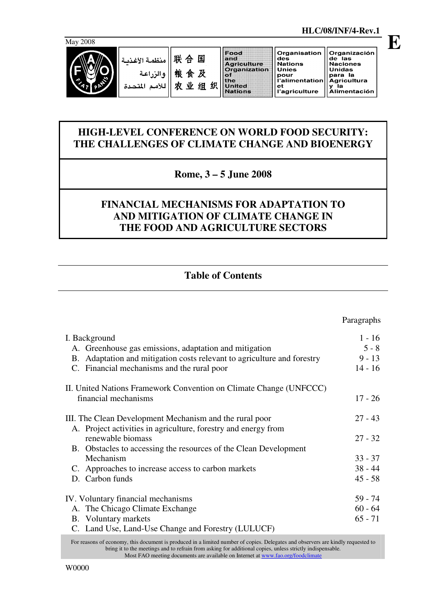

Organisation Organización de las<br>Naciones<br>Unidas des<br>Nations منظمة الأغذد Unies once<br>pour<br>l'alimentation para la<br>Agricultura<br>y la 农业组织 Agricultura<br>y la<br>Alimentación للأمم المتد  $\mathbf{Z}$ et ะ.<br>I'agriculture

# **HIGH-LEVEL CONFERENCE ON WORLD FOOD SECURITY: THE CHALLENGES OF CLIMATE CHANGE AND BIOENERGY**

# **Rome, 3 – 5 June 2008**

# **FINANCIAL MECHANISMS FOR ADAPTATION TO AND MITIGATION OF CLIMATE CHANGE IN THE FOOD AND AGRICULTURE SECTORS**

# **Table of Contents**

|                                                                         | Paragraphs |
|-------------------------------------------------------------------------|------------|
| I. Background                                                           | $1 - 16$   |
| A. Greenhouse gas emissions, adaptation and mitigation                  | $5 - 8$    |
| B. Adaptation and mitigation costs relevant to agriculture and forestry | $9 - 13$   |
| C. Financial mechanisms and the rural poor                              | $14 - 16$  |
| II. United Nations Framework Convention on Climate Change (UNFCCC)      |            |
| financial mechanisms                                                    | $17 - 26$  |
| III. The Clean Development Mechanism and the rural poor                 | $27 - 43$  |
| A. Project activities in agriculture, forestry and energy from          |            |
| renewable biomass                                                       | $27 - 32$  |
| B. Obstacles to accessing the resources of the Clean Development        |            |
| Mechanism                                                               | $33 - 37$  |
| C. Approaches to increase access to carbon markets                      | $38 - 44$  |
| D. Carbon funds                                                         | $45 - 58$  |
| IV. Voluntary financial mechanisms                                      | 59 - 74    |
| A. The Chicago Climate Exchange                                         | $60 - 64$  |
| B. Voluntary markets                                                    | $65 - 71$  |
| C. Land Use, Land-Use Change and Forestry (LULUCF)                      |            |

For reasons of economy, this document is produced in a limited number of copies. Delegates and observers are kindly requested to bring it to the meetings and to refrain from asking for additional copies, unless strictly indispensable. Most FAO meeting documents are available on Internet at www.fao.org/foodclimate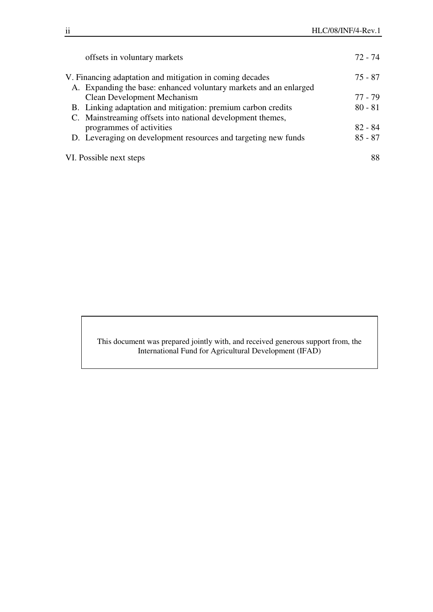| offsets in voluntary markets                                      | 72 - 74   |
|-------------------------------------------------------------------|-----------|
| V. Financing adaptation and mitigation in coming decades          | 75 - 87   |
| A. Expanding the base: enhanced voluntary markets and an enlarged |           |
| <b>Clean Development Mechanism</b>                                | 77 - 79   |
| B. Linking adaptation and mitigation: premium carbon credits      | $80 - 81$ |
| C. Mainstreaming offsets into national development themes,        |           |
| programmes of activities                                          | $82 - 84$ |
| D. Leveraging on development resources and targeting new funds    | $85 - 87$ |
| VI. Possible next steps                                           | 88        |

This document was prepared jointly with, and received generous support from, the International Fund for Agricultural Development (IFAD)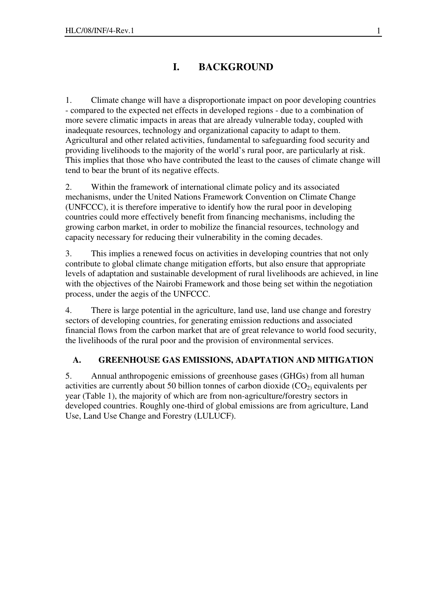# **I. BACKGROUND**

1. Climate change will have a disproportionate impact on poor developing countries - compared to the expected net effects in developed regions - due to a combination of more severe climatic impacts in areas that are already vulnerable today, coupled with inadequate resources, technology and organizational capacity to adapt to them. Agricultural and other related activities, fundamental to safeguarding food security and providing livelihoods to the majority of the world's rural poor, are particularly at risk. This implies that those who have contributed the least to the causes of climate change will tend to bear the brunt of its negative effects.

2. Within the framework of international climate policy and its associated mechanisms, under the United Nations Framework Convention on Climate Change (UNFCCC), it is therefore imperative to identify how the rural poor in developing countries could more effectively benefit from financing mechanisms, including the growing carbon market, in order to mobilize the financial resources, technology and capacity necessary for reducing their vulnerability in the coming decades.

3. This implies a renewed focus on activities in developing countries that not only contribute to global climate change mitigation efforts, but also ensure that appropriate levels of adaptation and sustainable development of rural livelihoods are achieved, in line with the objectives of the Nairobi Framework and those being set within the negotiation process, under the aegis of the UNFCCC.

4. There is large potential in the agriculture, land use, land use change and forestry sectors of developing countries, for generating emission reductions and associated financial flows from the carbon market that are of great relevance to world food security, the livelihoods of the rural poor and the provision of environmental services.

## **A. GREENHOUSE GAS EMISSIONS, ADAPTATION AND MITIGATION**

5. Annual anthropogenic emissions of greenhouse gases (GHGs) from all human activities are currently about 50 billion tonnes of carbon dioxide  $(CO<sub>2</sub>)$  equivalents per year (Table 1), the majority of which are from non-agriculture/forestry sectors in developed countries. Roughly one-third of global emissions are from agriculture, Land Use, Land Use Change and Forestry (LULUCF).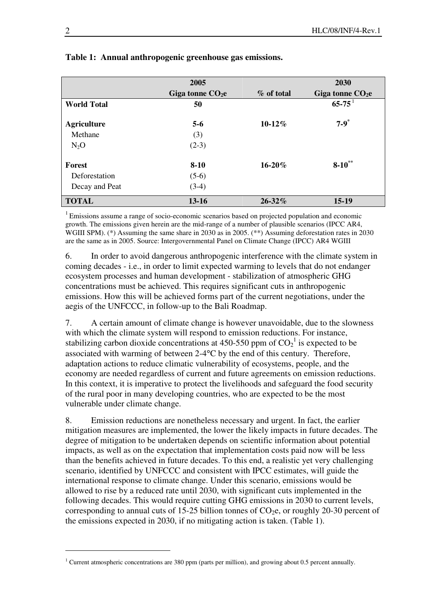|                    | 2005              |             | 2030                   |
|--------------------|-------------------|-------------|------------------------|
|                    | Giga tonne $CO2e$ | % of total  | Giga tonne $CO2e$      |
| <b>World Total</b> | 50                |             | $65 - 75$ <sup>1</sup> |
| <b>Agriculture</b> | $5 - 6$           | $10-12\%$   | $7 - 9^*$              |
| Methane            | (3)               |             |                        |
| $N_2O$             | $(2-3)$           |             |                        |
| <b>Forest</b>      | $8-10$            | $16 - 20%$  | $8-10^{**}$            |
| Deforestation      | $(5-6)$           |             |                        |
| Decay and Peat     | $(3-4)$           |             |                        |
| <b>TOTAL</b>       | $13 - 16$         | $26 - 32\%$ | $15-19$                |

### **Table 1: Annual anthropogenic greenhouse gas emissions.**

<sup>1</sup> Emissions assume a range of socio-economic scenarios based on projected population and economic growth. The emissions given herein are the mid-range of a number of plausible scenarios (IPCC AR4, WGIII SPM). (\*) Assuming the same share in 2030 as in 2005. (\*\*) Assuming deforestation rates in 2030 are the same as in 2005. Source: Intergovernmental Panel on Climate Change (IPCC) AR4 WGIII

6. In order to avoid dangerous anthropogenic interference with the climate system in coming decades - i.e., in order to limit expected warming to levels that do not endanger ecosystem processes and human development - stabilization of atmospheric GHG concentrations must be achieved. This requires significant cuts in anthropogenic emissions. How this will be achieved forms part of the current negotiations, under the aegis of the UNFCCC, in follow-up to the Bali Roadmap.

7. A certain amount of climate change is however unavoidable, due to the slowness with which the climate system will respond to emission reductions. For instance, stabilizing carbon dioxide concentrations at 450-550 ppm of  $CO_2^1$  is expected to be associated with warming of between 2-4°C by the end of this century. Therefore, adaptation actions to reduce climatic vulnerability of ecosystems, people, and the economy are needed regardless of current and future agreements on emission reductions. In this context, it is imperative to protect the livelihoods and safeguard the food security of the rural poor in many developing countries, who are expected to be the most vulnerable under climate change.

8. Emission reductions are nonetheless necessary and urgent. In fact, the earlier mitigation measures are implemented, the lower the likely impacts in future decades. The degree of mitigation to be undertaken depends on scientific information about potential impacts, as well as on the expectation that implementation costs paid now will be less than the benefits achieved in future decades. To this end, a realistic yet very challenging scenario, identified by UNFCCC and consistent with IPCC estimates, will guide the international response to climate change. Under this scenario, emissions would be allowed to rise by a reduced rate until 2030, with significant cuts implemented in the following decades. This would require cutting GHG emissions in 2030 to current levels, corresponding to annual cuts of 15-25 billion tonnes of  $CO<sub>2</sub>e$ , or roughly 20-30 percent of the emissions expected in 2030, if no mitigating action is taken. (Table 1).

<sup>&</sup>lt;sup>1</sup> Current atmospheric concentrations are 380 ppm (parts per million), and growing about 0.5 percent annually.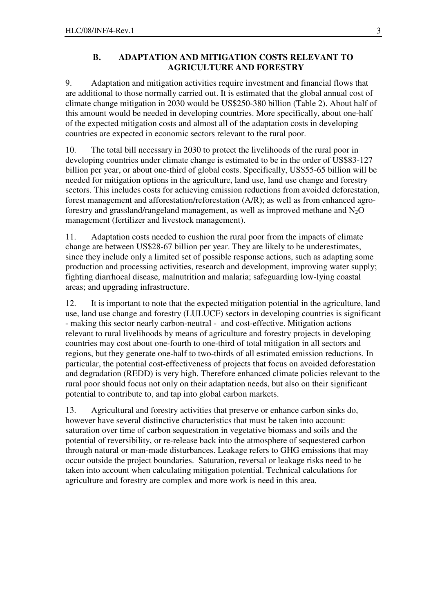### **B. ADAPTATION AND MITIGATION COSTS RELEVANT TO AGRICULTURE AND FORESTRY**

9. Adaptation and mitigation activities require investment and financial flows that are additional to those normally carried out. It is estimated that the global annual cost of climate change mitigation in 2030 would be US\$250-380 billion (Table 2). About half of this amount would be needed in developing countries. More specifically, about one-half of the expected mitigation costs and almost all of the adaptation costs in developing countries are expected in economic sectors relevant to the rural poor.

10. The total bill necessary in 2030 to protect the livelihoods of the rural poor in developing countries under climate change is estimated to be in the order of US\$83-127 billion per year, or about one-third of global costs. Specifically, US\$55-65 billion will be needed for mitigation options in the agriculture, land use, land use change and forestry sectors. This includes costs for achieving emission reductions from avoided deforestation, forest management and afforestation/reforestation (A/R); as well as from enhanced agroforestry and grassland/rangeland management, as well as improved methane and  $N_2O$ management (fertilizer and livestock management).

11. Adaptation costs needed to cushion the rural poor from the impacts of climate change are between US\$28-67 billion per year. They are likely to be underestimates, since they include only a limited set of possible response actions, such as adapting some production and processing activities, research and development, improving water supply; fighting diarrhoeal disease, malnutrition and malaria; safeguarding low-lying coastal areas; and upgrading infrastructure.

12. It is important to note that the expected mitigation potential in the agriculture, land use, land use change and forestry (LULUCF) sectors in developing countries is significant - making this sector nearly carbon-neutral - and cost-effective. Mitigation actions relevant to rural livelihoods by means of agriculture and forestry projects in developing countries may cost about one-fourth to one-third of total mitigation in all sectors and regions, but they generate one-half to two-thirds of all estimated emission reductions. In particular, the potential cost-effectiveness of projects that focus on avoided deforestation and degradation (REDD) is very high. Therefore enhanced climate policies relevant to the rural poor should focus not only on their adaptation needs, but also on their significant potential to contribute to, and tap into global carbon markets.

13. Agricultural and forestry activities that preserve or enhance carbon sinks do, however have several distinctive characteristics that must be taken into account: saturation over time of carbon sequestration in vegetative biomass and soils and the potential of reversibility, or re-release back into the atmosphere of sequestered carbon through natural or man-made disturbances. Leakage refers to GHG emissions that may occur outside the project boundaries. Saturation, reversal or leakage risks need to be taken into account when calculating mitigation potential. Technical calculations for agriculture and forestry are complex and more work is need in this area.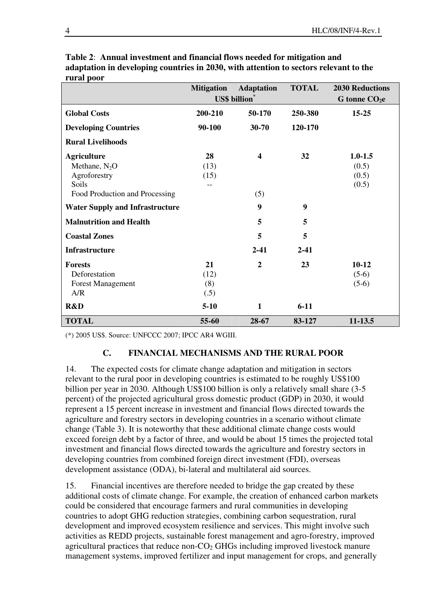|                                        | <b>Mitigation</b>    | <b>Adaptation</b>       | <b>TOTAL</b> | <b>2030 Reductions</b> |
|----------------------------------------|----------------------|-------------------------|--------------|------------------------|
|                                        | <b>US\$</b> billion* |                         |              | G tonne $CO2e$         |
| <b>Global Costs</b>                    | 200-210              | 50-170                  | 250-380      | $15 - 25$              |
| <b>Developing Countries</b>            | 90-100               | $30 - 70$               | 120-170      |                        |
| <b>Rural Livelihoods</b>               |                      |                         |              |                        |
| <b>Agriculture</b>                     | 28                   | $\overline{\mathbf{4}}$ | 32           | $1.0 - 1.5$            |
| Methane, $N_2O$                        | (13)                 |                         |              | (0.5)                  |
| Agroforestry                           | (15)                 |                         |              | (0.5)                  |
| Soils                                  | --                   |                         |              | (0.5)                  |
| Food Production and Processing         |                      | (5)                     |              |                        |
| <b>Water Supply and Infrastructure</b> |                      | 9                       | 9            |                        |
| <b>Malnutrition and Health</b>         |                      | 5                       | 5            |                        |
| <b>Coastal Zones</b>                   |                      | 5                       | 5            |                        |
| <b>Infrastructure</b>                  |                      | $2 - 41$                | $2 - 41$     |                        |
| <b>Forests</b>                         | 21                   | $\overline{2}$          | 23           | $10 - 12$              |
| Deforestation                          | (12)                 |                         |              | $(5-6)$                |
| <b>Forest Management</b>               | (8)                  |                         |              | $(5-6)$                |
| A/R                                    | (.5)                 |                         |              |                        |
| R&D                                    | $5-10$               | 1                       | $6 - 11$     |                        |
| <b>TOTAL</b>                           | 55-60                | 28-67                   | 83-127       | 11-13.5                |

**Table 2**: **Annual investment and financial flows needed for mitigation and adaptation in developing countries in 2030, with attention to sectors relevant to the rural poor** 

(\*) 2005 US\$. Source: UNFCCC 2007; IPCC AR4 WGIII.

## **C. FINANCIAL MECHANISMS AND THE RURAL POOR**

14. The expected costs for climate change adaptation and mitigation in sectors relevant to the rural poor in developing countries is estimated to be roughly US\$100 billion per year in 2030. Although US\$100 billion is only a relatively small share (3-5 percent) of the projected agricultural gross domestic product (GDP) in 2030, it would represent a 15 percent increase in investment and financial flows directed towards the agriculture and forestry sectors in developing countries in a scenario without climate change (Table 3). It is noteworthy that these additional climate change costs would exceed foreign debt by a factor of three, and would be about 15 times the projected total investment and financial flows directed towards the agriculture and forestry sectors in developing countries from combined foreign direct investment (FDI), overseas development assistance (ODA), bi-lateral and multilateral aid sources.

15. Financial incentives are therefore needed to bridge the gap created by these additional costs of climate change. For example, the creation of enhanced carbon markets could be considered that encourage farmers and rural communities in developing countries to adopt GHG reduction strategies, combining carbon sequestration, rural development and improved ecosystem resilience and services. This might involve such activities as REDD projects, sustainable forest management and agro-forestry, improved agricultural practices that reduce non- $CO<sub>2</sub>$  GHGs including improved livestock manure management systems, improved fertilizer and input management for crops, and generally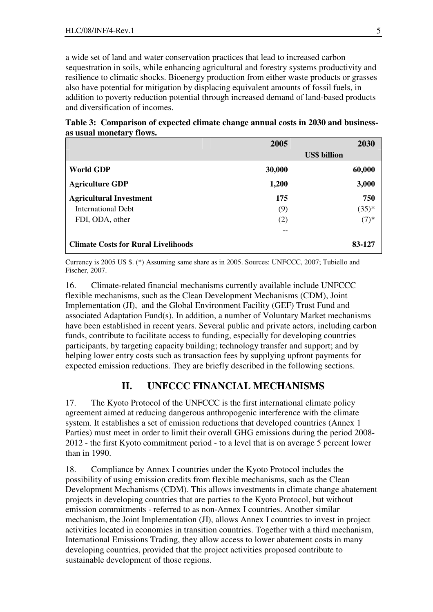a wide set of land and water conservation practices that lead to increased carbon sequestration in soils, while enhancing agricultural and forestry systems productivity and resilience to climatic shocks. Bioenergy production from either waste products or grasses also have potential for mitigation by displacing equivalent amounts of fossil fuels, in addition to poverty reduction potential through increased demand of land-based products and diversification of incomes.

**Table 3: Comparison of expected climate change annual costs in 2030 and businessas usual monetary flows.** 

|                                            | 2005   | 2030                |
|--------------------------------------------|--------|---------------------|
|                                            |        | <b>US\$</b> billion |
| <b>World GDP</b>                           | 30,000 | 60,000              |
| <b>Agriculture GDP</b>                     | 1,200  | 3,000               |
| <b>Agricultural Investment</b>             | 175    | 750                 |
| International Debt                         | (9)    | $(35)^{*}$          |
| FDI, ODA, other                            | (2)    | $(7)$ *             |
|                                            | --     |                     |
| <b>Climate Costs for Rural Livelihoods</b> |        | 83-127              |

Currency is 2005 US \$. (\*) Assuming same share as in 2005. Sources: UNFCCC, 2007; Tubiello and Fischer, 2007.

16. Climate-related financial mechanisms currently available include UNFCCC flexible mechanisms, such as the Clean Development Mechanisms (CDM), Joint Implementation (JI), and the Global Environment Facility (GEF) Trust Fund and associated Adaptation Fund(s). In addition, a number of Voluntary Market mechanisms have been established in recent years. Several public and private actors, including carbon funds, contribute to facilitate access to funding, especially for developing countries participants, by targeting capacity building; technology transfer and support; and by helping lower entry costs such as transaction fees by supplying upfront payments for expected emission reductions. They are briefly described in the following sections.

# **II. UNFCCC FINANCIAL MECHANISMS**

17. The Kyoto Protocol of the UNFCCC is the first international climate policy agreement aimed at reducing dangerous anthropogenic interference with the climate system. It establishes a set of emission reductions that developed countries (Annex 1 Parties) must meet in order to limit their overall GHG emissions during the period 2008- 2012 - the first Kyoto commitment period - to a level that is on average 5 percent lower than in 1990.

18. Compliance by Annex I countries under the Kyoto Protocol includes the possibility of using emission credits from flexible mechanisms, such as the Clean Development Mechanisms (CDM). This allows investments in climate change abatement projects in developing countries that are parties to the Kyoto Protocol, but without emission commitments - referred to as non-Annex I countries. Another similar mechanism, the Joint Implementation (JI), allows Annex I countries to invest in project activities located in economies in transition countries. Together with a third mechanism, International Emissions Trading, they allow access to lower abatement costs in many developing countries, provided that the project activities proposed contribute to sustainable development of those regions.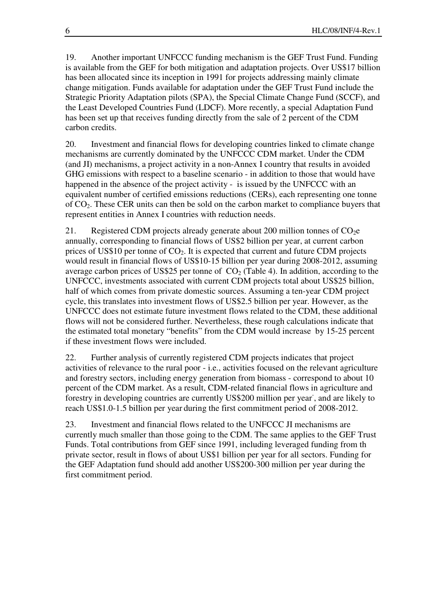19. Another important UNFCCC funding mechanism is the GEF Trust Fund. Funding is available from the GEF for both mitigation and adaptation projects. Over US\$17 billion has been allocated since its inception in 1991 for projects addressing mainly climate change mitigation. Funds available for adaptation under the GEF Trust Fund include the Strategic Priority Adaptation pilots (SPA), the Special Climate Change Fund (SCCF), and the Least Developed Countries Fund (LDCF). More recently, a special Adaptation Fund has been set up that receives funding directly from the sale of 2 percent of the CDM carbon credits.

20. Investment and financial flows for developing countries linked to climate change mechanisms are currently dominated by the UNFCCC CDM market. Under the CDM (and JI) mechanisms, a project activity in a non-Annex I country that results in avoided GHG emissions with respect to a baseline scenario - in addition to those that would have happened in the absence of the project activity - is issued by the UNFCCC with an equivalent number of certified emissions reductions (CERs), each representing one tonne of CO2. These CER units can then be sold on the carbon market to compliance buyers that represent entities in Annex I countries with reduction needs.

21. Registered CDM projects already generate about 200 million tonnes of  $CO<sub>2</sub>e$ annually, corresponding to financial flows of US\$2 billion per year, at current carbon prices of US\$10 per tonne of  $CO<sub>2</sub>$ . It is expected that current and future CDM projects would result in financial flows of US\$10-15 billion per year during 2008-2012, assuming average carbon prices of US\$25 per tonne of  $CO<sub>2</sub>$  (Table 4). In addition, according to the UNFCCC, investments associated with current CDM projects total about US\$25 billion, half of which comes from private domestic sources. Assuming a ten-year CDM project cycle, this translates into investment flows of US\$2.5 billion per year. However, as the UNFCCC does not estimate future investment flows related to the CDM, these additional flows will not be considered further. Nevertheless, these rough calculations indicate that the estimated total monetary "benefits" from the CDM would increase by 15-25 percent if these investment flows were included.

22. Further analysis of currently registered CDM projects indicates that project activities of relevance to the rural poor - i.e., activities focused on the relevant agriculture and forestry sectors, including energy generation from biomass - correspond to about 10 percent of the CDM market. As a result, CDM-related financial flows in agriculture and forestry in developing countries are currently US\$200 million per year, and are likely to reach US\$1.0-1.5 billion per year during the first commitment period of 2008-2012.

23. Investment and financial flows related to the UNFCCC JI mechanisms are currently much smaller than those going to the CDM. The same applies to the GEF Trust Funds. Total contributions from GEF since 1991, including leveraged funding from th private sector, result in flows of about US\$1 billion per year for all sectors. Funding for the GEF Adaptation fund should add another US\$200-300 million per year during the first commitment period.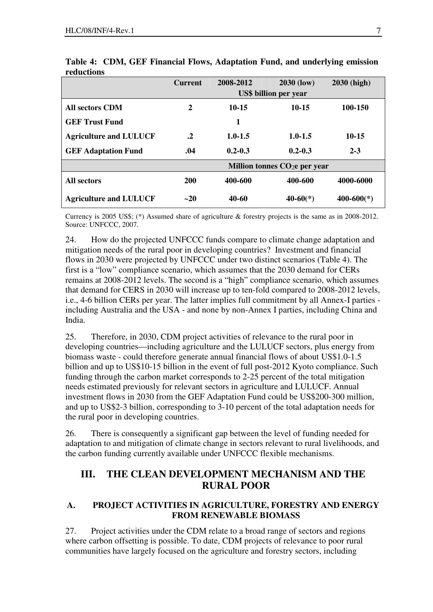|                               | <b>Current</b> | 2008-2012   | <b>2030 (low)</b>              | <b>2030 (high)</b>         |
|-------------------------------|----------------|-------------|--------------------------------|----------------------------|
|                               |                |             | <b>US\$</b> billion per year   |                            |
| <b>All sectors CDM</b>        | $\overline{2}$ | $10 - 15$   | $10 - 15$                      | 100-150                    |
| <b>GEF Trust Fund</b>         |                | 1           |                                |                            |
| <b>Agriculture and LULUCF</b> | $\cdot$        | $1.0 - 1.5$ | $1.0 - 1.5$                    | $10 - 15$                  |
| <b>GEF Adaptation Fund</b>    | .04            | $0.2 - 0.3$ | $0.2 - 0.3$                    | $2 - 3$                    |
|                               |                |             | Million tonnes $CO2e$ per year |                            |
| <b>All sectors</b>            | 200            | 400-600     | 400-600                        | 4000-6000                  |
| <b>Agriculture and LULUCF</b> | $-20$          | 40-60       | $40-60(*)$                     | $400 - 600$ <sup>(*)</sup> |

**Table 4: CDM, GEF Financial Flows, Adaptation Fund, and underlying emission reductions** 

Currency is 2005 US\$; (\*) Assumed share of agriculture & forestry projects is the same as in 2008-2012. Source: UNFCCC, 2007.

24. How do the projected UNFCCC funds compare to climate change adaptation and mitigation needs of the rural poor in developing countries?Investment and financial flows in 2030 were projected by UNFCCC under two distinct scenarios (Table 4). The first is a "low" compliance scenario, which assumes that the 2030 demand for CERs remains at 2008-2012 levels. The second is a "high" compliance scenario, which assumes that demand for CERS in 2030 will increase up to ten-fold compared to 2008-2012 levels, i.e., 4-6 billion CERs per year. The latter implies full commitment by all Annex-I parties including Australia and the USA - and none by non-Annex I parties, including China and India.

25. Therefore, in 2030, CDM project activities of relevance to the rural poor in developing countries—including agriculture and the LULUCF sectors, plus energy from biomass waste - could therefore generate annual financial flows of about US\$1.0-1.5 billion and up to US\$10-15 billion in the event of full post-2012 Kyoto compliance. Such funding through the carbon market corresponds to 2-25 percent of the total mitigation needs estimated previously for relevant sectors in agriculture and LULUCF. Annual investment flows in 2030 from the GEF Adaptation Fund could be US\$200-300 million, and up to US\$2-3 billion, corresponding to 3-10 percent of the total adaptation needs for the rural poor in developing countries.

26. There is consequently a significant gap between the level of funding needed for adaptation to and mitigation of climate change in sectors relevant to rural livelihoods, and the carbon funding currently available under UNFCCC flexible mechanisms.

# **III. THE CLEAN DEVELOPMENT MECHANISM AND THE RURAL POOR**

# **A. PROJECT ACTIVITIES IN AGRICULTURE, FORESTRY AND ENERGY FROM RENEWABLE BIOMASS**

27. Project activities under the CDM relate to a broad range of sectors and regions where carbon offsetting is possible. To date, CDM projects of relevance to poor rural communities have largely focused on the agriculture and forestry sectors, including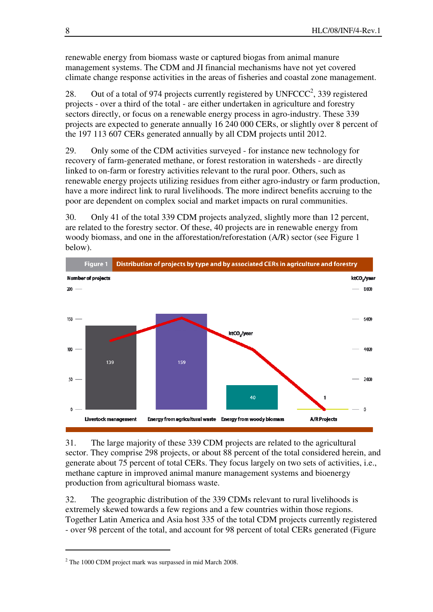renewable energy from biomass waste or captured biogas from animal manure management systems. The CDM and JI financial mechanisms have not yet covered climate change response activities in the areas of fisheries and coastal zone management.

28. Out of a total of 974 projects currently registered by  $UNFCCC<sup>2</sup>, 339$  registered projects - over a third of the total - are either undertaken in agriculture and forestry sectors directly, or focus on a renewable energy process in agro-industry. These 339 projects are expected to generate annually 16 240 000 CERs, or slightly over 8 percent of the 197 113 607 CERs generated annually by all CDM projects until 2012.

29. Only some of the CDM activities surveyed - for instance new technology for recovery of farm-generated methane, or forest restoration in watersheds - are directly linked to on-farm or forestry activities relevant to the rural poor. Others, such as renewable energy projects utilizing residues from either agro-industry or farm production, have a more indirect link to rural livelihoods. The more indirect benefits accruing to the poor are dependent on complex social and market impacts on rural communities.

30. Only 41 of the total 339 CDM projects analyzed, slightly more than 12 percent, are related to the forestry sector. Of these, 40 projects are in renewable energy from woody biomass, and one in the afforestation/reforestation (A/R) sector (see Figure 1 below).



31. The large majority of these 339 CDM projects are related to the agricultural sector. They comprise 298 projects, or about 88 percent of the total considered herein, and generate about 75 percent of total CERs. They focus largely on two sets of activities, i.e., methane capture in improved animal manure management systems and bioenergy production from agricultural biomass waste.

32. The geographic distribution of the 339 CDMs relevant to rural livelihoods is extremely skewed towards a few regions and a few countries within those regions. Together Latin America and Asia host 335 of the total CDM projects currently registered - over 98 percent of the total, and account for 98 percent of total CERs generated (Figure

 $2$  The 1000 CDM project mark was surpassed in mid March 2008.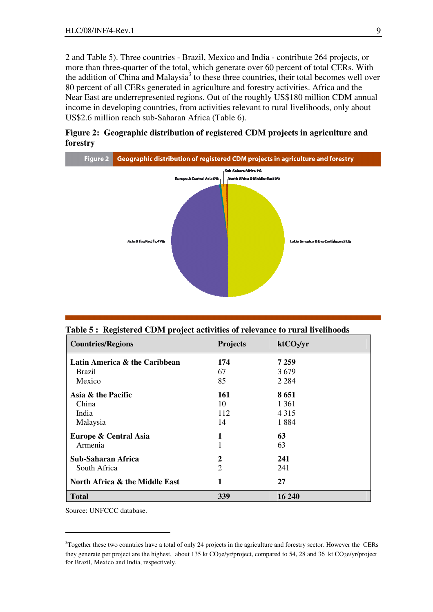2 and Table 5). Three countries - Brazil, Mexico and India - contribute 264 projects, or more than three-quarter of the total, which generate over 60 percent of total CERs. With the addition of China and Malaysia<sup>3</sup> to these three countries, their total becomes well over 80 percent of all CERs generated in agriculture and forestry activities. Africa and the Near East are underrepresented regions. Out of the roughly US\$180 million CDM annual income in developing countries, from activities relevant to rural livelihoods, only about US\$2.6 million reach sub-Saharan Africa (Table 6).

**Figure 2: Geographic distribution of registered CDM projects in agriculture and forestry** 



**Table 5 : Registered CDM project activities of relevance to rural livelihoods** 

| <b>Countries/Regions</b>       | <b>Projects</b> | ktCO <sub>2</sub> /yr |
|--------------------------------|-----------------|-----------------------|
| Latin America & the Caribbean  | 174             | 7 2 5 9               |
| <b>Brazil</b>                  | 67              | 3679                  |
| Mexico                         | 85              | 2 2 8 4               |
| Asia & the Pacific             | 161             | 8651                  |
| China                          | 10              | 1 361                 |
| India                          | 112             | 4 3 1 5               |
| Malaysia                       | 14              | 1884                  |
| Europe & Central Asia          | 1               | 63                    |
| Armenia                        |                 | 63                    |
| <b>Sub-Saharan Africa</b>      | 2               | 241                   |
| South Africa                   | 2               | 241                   |
| North Africa & the Middle East | 1               | 27                    |
| <b>Total</b>                   | 339             | 16 240                |

Source: UNFCCC database.

<sup>&</sup>lt;sup>3</sup>Together these two countries have a total of only 24 projects in the agriculture and forestry sector. However the CERs they generate per project are the highest, about 135 kt CO<sub>2</sub>e/yr/project, compared to 54, 28 and 36 kt CO<sub>2</sub>e/yr/project for Brazil, Mexico and India, respectively.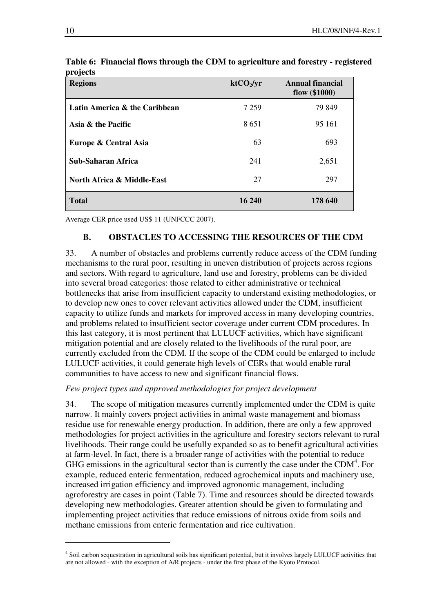| <b>Regions</b>                        | ktCO <sub>2</sub> /yr | Annual financial<br>flow $(\$1000)$ |
|---------------------------------------|-----------------------|-------------------------------------|
| Latin America & the Caribbean         | 7 2 5 9               | 79 849                              |
| Asia & the Pacific                    | 8651                  | 95 161                              |
| Europe & Central Asia                 | 63                    | 693                                 |
| <b>Sub-Saharan Africa</b>             | 241                   | 2,651                               |
| <b>North Africa &amp; Middle-East</b> | 27                    | 297                                 |
| <b>Total</b>                          | 16 240                | 178 640                             |

**Table 6: Financial flows through the CDM to agriculture and forestry - registered projects** 

Average CER price used US\$ 11 (UNFCCC 2007).

# **B. OBSTACLES TO ACCESSING THE RESOURCES OF THE CDM**

33. A number of obstacles and problems currently reduce access of the CDM funding mechanisms to the rural poor, resulting in uneven distribution of projects across regions and sectors. With regard to agriculture, land use and forestry, problems can be divided into several broad categories: those related to either administrative or technical bottlenecks that arise from insufficient capacity to understand existing methodologies, or to develop new ones to cover relevant activities allowed under the CDM, insufficient capacity to utilize funds and markets for improved access in many developing countries, and problems related to insufficient sector coverage under current CDM procedures. In this last category, it is most pertinent that LULUCF activities, which have significant mitigation potential and are closely related to the livelihoods of the rural poor, are currently excluded from the CDM. If the scope of the CDM could be enlarged to include LULUCF activities, it could generate high levels of CERs that would enable rural communities to have access to new and significant financial flows.

#### *Few project types and approved methodologies for project development*

34. The scope of mitigation measures currently implemented under the CDM is quite narrow. It mainly covers project activities in animal waste management and biomass residue use for renewable energy production. In addition, there are only a few approved methodologies for project activities in the agriculture and forestry sectors relevant to rural livelihoods. Their range could be usefully expanded so as to benefit agricultural activities at farm-level. In fact, there is a broader range of activities with the potential to reduce GHG emissions in the agricultural sector than is currently the case under the CDM $4$ . For example, reduced enteric fermentation, reduced agrochemical inputs and machinery use, increased irrigation efficiency and improved agronomic management, including agroforestry are cases in point (Table 7). Time and resources should be directed towards developing new methodologies. Greater attention should be given to formulating and implementing project activities that reduce emissions of nitrous oxide from soils and methane emissions from enteric fermentation and rice cultivation.

<sup>&</sup>lt;sup>4</sup> Soil carbon sequestration in agricultural soils has significant potential, but it involves largely LULUCF activities that are not allowed - with the exception of A/R projects - under the first phase of the Kyoto Protocol.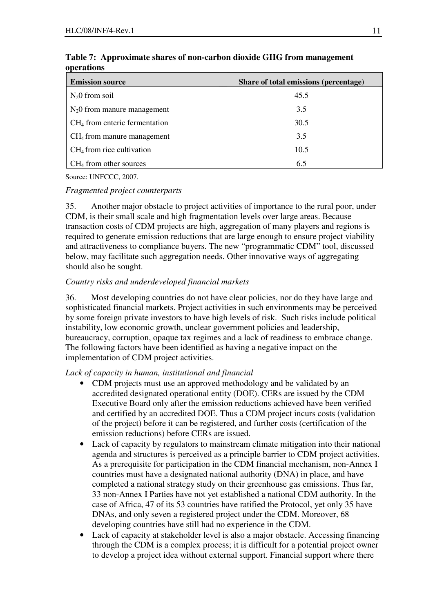| <b>Emission source</b>          | Share of total emissions (percentage) |
|---------------------------------|---------------------------------------|
| $N20$ from soil                 | 45.5                                  |
| $N_2$ O from manure management  | 3.5                                   |
| $CH4$ from enteric fermentation | 30.5                                  |
| $CH4$ from manure management    | 3.5                                   |
| $CH4$ from rice cultivation     | 10.5                                  |
| $CH4$ from other sources        | 6.5                                   |

### **Table 7: Approximate shares of non-carbon dioxide GHG from management operations**

Source: UNFCCC, 2007.

### *Fragmented project counterparts*

35. Another major obstacle to project activities of importance to the rural poor, under CDM, is their small scale and high fragmentation levels over large areas. Because transaction costs of CDM projects are high, aggregation of many players and regions is required to generate emission reductions that are large enough to ensure project viability and attractiveness to compliance buyers. The new "programmatic CDM" tool, discussed below, may facilitate such aggregation needs. Other innovative ways of aggregating should also be sought.

# *Country risks and underdeveloped financial markets*

36. Most developing countries do not have clear policies, nor do they have large and sophisticated financial markets. Project activities in such environments may be perceived by some foreign private investors to have high levels of risk. Such risks include political instability, low economic growth, unclear government policies and leadership, bureaucracy, corruption, opaque tax regimes and a lack of readiness to embrace change. The following factors have been identified as having a negative impact on the implementation of CDM project activities.

## *Lack of capacity in human, institutional and financial*

- CDM projects must use an approved methodology and be validated by an accredited designated operational entity (DOE). CERs are issued by the CDM Executive Board only after the emission reductions achieved have been verified and certified by an accredited DOE. Thus a CDM project incurs costs (validation of the project) before it can be registered, and further costs (certification of the emission reductions) before CERs are issued.
- Lack of capacity by regulators to mainstream climate mitigation into their national agenda and structures is perceived as a principle barrier to CDM project activities. As a prerequisite for participation in the CDM financial mechanism, non-Annex I countries must have a designated national authority (DNA) in place, and have completed a national strategy study on their greenhouse gas emissions. Thus far, 33 non-Annex I Parties have not yet established a national CDM authority. In the case of Africa, 47 of its 53 countries have ratified the Protocol, yet only 35 have DNAs, and only seven a registered project under the CDM. Moreover, 68 developing countries have still had no experience in the CDM.
- Lack of capacity at stakeholder level is also a major obstacle. Accessing financing through the CDM is a complex process; it is difficult for a potential project owner to develop a project idea without external support. Financial support where there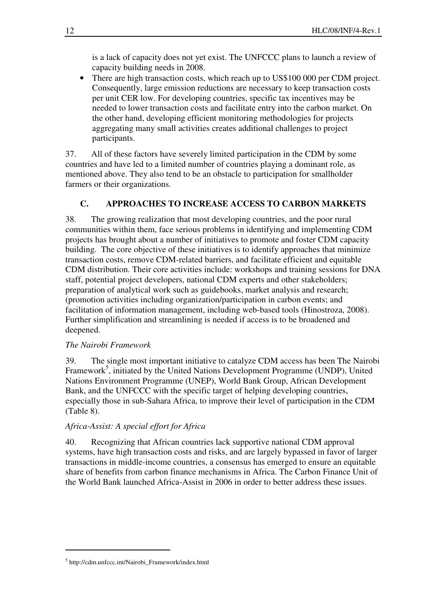is a lack of capacity does not yet exist. The UNFCCC plans to launch a review of capacity building needs in 2008.

• There are high transaction costs, which reach up to US\$100 000 per CDM project. Consequently, large emission reductions are necessary to keep transaction costs per unit CER low. For developing countries, specific tax incentives may be needed to lower transaction costs and facilitate entry into the carbon market. On the other hand, developing efficient monitoring methodologies for projects aggregating many small activities creates additional challenges to project participants.

37. All of these factors have severely limited participation in the CDM by some countries and have led to a limited number of countries playing a dominant role, as mentioned above. They also tend to be an obstacle to participation for smallholder farmers or their organizations.

# **C. APPROACHES TO INCREASE ACCESS TO CARBON MARKETS**

38. The growing realization that most developing countries, and the poor rural communities within them, face serious problems in identifying and implementing CDM projects has brought about a number of initiatives to promote and foster CDM capacity building. The core objective of these initiatives is to identify approaches that minimize transaction costs, remove CDM-related barriers, and facilitate efficient and equitable CDM distribution. Their core activities include: workshops and training sessions for DNA staff, potential project developers, national CDM experts and other stakeholders; preparation of analytical work such as guidebooks, market analysis and research; (promotion activities including organization/participation in carbon events; and facilitation of information management, including web-based tools (Hinostroza, 2008). Further simplification and streamlining is needed if access is to be broadened and deepened.

#### *The Nairobi Framework*

39. The single most important initiative to catalyze CDM access has been The Nairobi Framework<sup>5</sup>, initiated by the United Nations Development Programme (UNDP), United Nations Environment Programme (UNEP), World Bank Group, African Development Bank, and the UNFCCC with the specific target of helping developing countries, especially those in sub-Sahara Africa, to improve their level of participation in the CDM (Table 8).

#### *Africa-Assist: A special effort for Africa*

40. Recognizing that African countries lack supportive national CDM approval systems, have high transaction costs and risks, and are largely bypassed in favor of larger transactions in middle-income countries, a consensus has emerged to ensure an equitable share of benefits from carbon finance mechanisms in Africa. The Carbon Finance Unit of the World Bank launched Africa-Assist in 2006 in order to better address these issues.

<sup>5</sup> http://cdm.unfccc.int/Nairobi\_Framework/index.html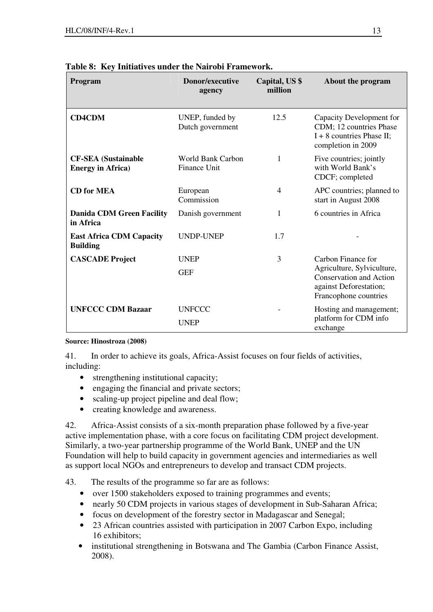| Program                                                 | Donor/executive<br>agency                       | Capital, US \$<br>million | About the program                                                                                        |
|---------------------------------------------------------|-------------------------------------------------|---------------------------|----------------------------------------------------------------------------------------------------------|
| <b>CD4CDM</b>                                           | UNEP, funded by<br>Dutch government             | 12.5                      | Capacity Development for<br>CDM; 12 countries Phase<br>$I + 8$ countries Phase II;<br>completion in 2009 |
| <b>CF-SEA</b> (Sustainable<br><b>Energy in Africa</b> ) | <b>World Bank Carbon</b><br><b>Finance Unit</b> | 1                         | Five countries; jointly<br>with World Bank's<br>CDCF; completed                                          |
| <b>CD</b> for MEA                                       | European<br>Commission                          | $\overline{4}$            | APC countries; planned to<br>start in August 2008                                                        |
| <b>Danida CDM Green Facility</b><br>in Africa           | Danish government                               | 1                         | 6 countries in Africa                                                                                    |
| <b>East Africa CDM Capacity</b><br><b>Building</b>      | <b>UNDP-UNEP</b>                                | 1.7                       |                                                                                                          |
| <b>CASCADE Project</b>                                  | <b>UNEP</b>                                     | 3                         | Carbon Finance for                                                                                       |
|                                                         | <b>GEF</b>                                      |                           | Agriculture, Sylviculture,<br>Conservation and Action<br>against Deforestation;<br>Francophone countries |
| <b>UNFCCC CDM Bazaar</b>                                | <b>UNFCCC</b>                                   |                           | Hosting and management;                                                                                  |
|                                                         | <b>UNEP</b>                                     |                           | platform for CDM info<br>exchange                                                                        |

# **Table 8: Key Initiatives under the Nairobi Framework.**

#### **Source: Hinostroza (2008)**

41. In order to achieve its goals, Africa-Assist focuses on four fields of activities, including:

- strengthening institutional capacity;
- engaging the financial and private sectors;
- scaling-up project pipeline and deal flow;
- creating knowledge and awareness.

42. Africa-Assist consists of a six-month preparation phase followed by a five-year active implementation phase, with a core focus on facilitating CDM project development. Similarly, a two-year partnership programme of the World Bank, UNEP and the UN Foundation will help to build capacity in government agencies and intermediaries as well as support local NGOs and entrepreneurs to develop and transact CDM projects.

- 43. The results of the programme so far are as follows:
	- over 1500 stakeholders exposed to training programmes and events;
	- nearly 50 CDM projects in various stages of development in Sub-Saharan Africa;
	- focus on development of the forestry sector in Madagascar and Senegal;
	- 23 African countries assisted with participation in 2007 Carbon Expo, including 16 exhibitors;
	- institutional strengthening in Botswana and The Gambia (Carbon Finance Assist, 2008).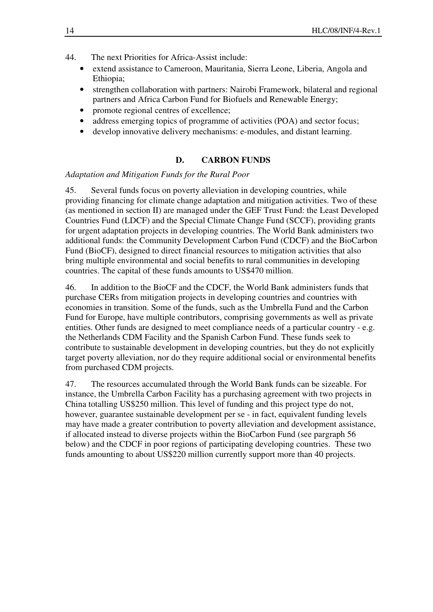- 44. The next Priorities for Africa-Assist include:
	- extend assistance to Cameroon, Mauritania, Sierra Leone, Liberia, Angola and Ethiopia;
	- strengthen collaboration with partners: Nairobi Framework, bilateral and regional partners and Africa Carbon Fund for Biofuels and Renewable Energy;
	- promote regional centres of excellence;
	- address emerging topics of programme of activities (POA) and sector focus;
	- develop innovative delivery mechanisms: e-modules, and distant learning.

#### **D. CARBON FUNDS**

#### *Adaptation and Mitigation Funds for the Rural Poor*

45. Several funds focus on poverty alleviation in developing countries, while providing financing for climate change adaptation and mitigation activities. Two of these (as mentioned in section II) are managed under the GEF Trust Fund: the Least Developed Countries Fund (LDCF) and the Special Climate Change Fund (SCCF), providing grants for urgent adaptation projects in developing countries. The World Bank administers two additional funds: the Community Development Carbon Fund (CDCF) and the BioCarbon Fund (BioCF), designed to direct financial resources to mitigation activities that also bring multiple environmental and social benefits to rural communities in developing countries. The capital of these funds amounts to US\$470 million.

46. In addition to the BioCF and the CDCF, the World Bank administers funds that purchase CERs from mitigation projects in developing countries and countries with economies in transition. Some of the funds, such as the Umbrella Fund and the Carbon Fund for Europe, have multiple contributors, comprising governments as well as private entities. Other funds are designed to meet compliance needs of a particular country - e.g. the Netherlands CDM Facility and the Spanish Carbon Fund. These funds seek to contribute to sustainable development in developing countries, but they do not explicitly target poverty alleviation, nor do they require additional social or environmental benefits from purchased CDM projects.

47. The resources accumulated through the World Bank funds can be sizeable. For instance, the Umbrella Carbon Facility has a purchasing agreement with two projects in China totalling US\$250 million. This level of funding and this project type do not, however, guarantee sustainable development per se - in fact, equivalent funding levels may have made a greater contribution to poverty alleviation and development assistance, if allocated instead to diverse projects within the BioCarbon Fund (see pargraph 56 below) and the CDCF in poor regions of participating developing countries. These two funds amounting to about US\$220 million currently support more than 40 projects.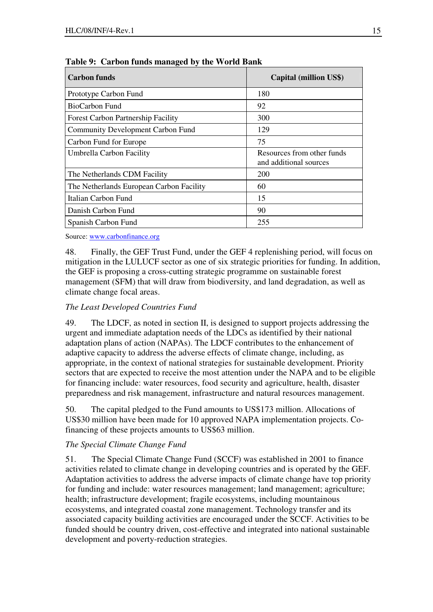| <b>Carbon funds</b>                       | <b>Capital (million US\$)</b>                        |
|-------------------------------------------|------------------------------------------------------|
| Prototype Carbon Fund                     | 180                                                  |
| BioCarbon Fund                            | 92                                                   |
| <b>Forest Carbon Partnership Facility</b> | 300                                                  |
| <b>Community Development Carbon Fund</b>  | 129                                                  |
| Carbon Fund for Europe                    | 75                                                   |
| Umbrella Carbon Facility                  | Resources from other funds<br>and additional sources |
| The Netherlands CDM Facility              | 200                                                  |
| The Netherlands European Carbon Facility  | 60                                                   |
| Italian Carbon Fund                       | 15                                                   |
| Danish Carbon Fund                        | 90                                                   |
| Spanish Carbon Fund                       | 255                                                  |

**Table 9: Carbon funds managed by the World Bank** 

Source: www.carbonfinance.org

48. Finally, the GEF Trust Fund, under the GEF 4 replenishing period, will focus on mitigation in the LULUCF sector as one of six strategic priorities for funding. In addition, the GEF is proposing a cross-cutting strategic programme on sustainable forest management (SFM) that will draw from biodiversity, and land degradation, as well as climate change focal areas.

### *The Least Developed Countries Fund*

49. The LDCF, as noted in section II, is designed to support projects addressing the urgent and immediate adaptation needs of the LDCs as identified by their national adaptation plans of action (NAPAs). The LDCF contributes to the enhancement of adaptive capacity to address the adverse effects of climate change, including, as appropriate, in the context of national strategies for sustainable development. Priority sectors that are expected to receive the most attention under the NAPA and to be eligible for financing include: water resources, food security and agriculture, health, disaster preparedness and risk management, infrastructure and natural resources management.

50. The capital pledged to the Fund amounts to US\$173 million. Allocations of US\$30 million have been made for 10 approved NAPA implementation projects. Cofinancing of these projects amounts to US\$63 million.

#### *The Special Climate Change Fund*

51. The Special Climate Change Fund (SCCF) was established in 2001 to finance activities related to climate change in developing countries and is operated by the GEF. Adaptation activities to address the adverse impacts of climate change have top priority for funding and include: water resources management; land management; agriculture; health; infrastructure development; fragile ecosystems, including mountainous ecosystems, and integrated coastal zone management. Technology transfer and its associated capacity building activities are encouraged under the SCCF. Activities to be funded should be country driven, cost-effective and integrated into national sustainable development and poverty-reduction strategies.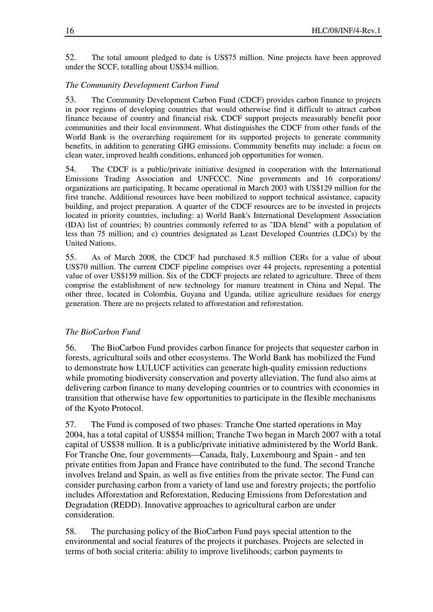52. The total amount pledged to date is US\$75 million. Nine projects have been approved under the SCCF, totalling about US\$34 million.

### *The Community Development Carbon Fund*

53. The Community Development Carbon Fund (CDCF) provides carbon finance to projects in poor regions of developing countries that would otherwise find it difficult to attract carbon finance because of country and financial risk. CDCF support projects measurably benefit poor communities and their local environment. What distinguishes the CDCF from other funds of the World Bank is the overarching requirement for its supported projects to generate community benefits, in addition to generating GHG emissions. Community benefits may include: a focus on clean water, improved health conditions, enhanced job opportunities for women.

54. The CDCF is a public/private initiative designed in cooperation with the International Emissions Trading Association and UNFCCC. Nine governments and 16 corporations/ organizations are participating. It became operational in March 2003 with US\$129 million for the first tranche. Additional resources have been mobilized to support technical assistance, capacity building, and project preparation. A quarter of the CDCF resources are to be invested in projects located in priority countries, including: a) World Bank's International Development Association (IDA) list of countries; b) countries commonly referred to as "IDA blend" with a population of less than 75 million; and c) countries designated as Least Developed Countries (LDCs) by the United Nations.

55. As of March 2008, the CDCF had purchased 8.5 million CERs for a value of about US\$70 million. The current CDCF pipeline comprises over 44 projects, representing a potential value of over US\$159 million. Six of the CDCF projects are related to agriculture. Three of them comprise the establishment of new technology for manure treatment in China and Nepal. The other three, located in Colombia, Guyana and Uganda, utilize agriculture residues for energy generation. There are no projects related to afforestation and reforestation.

#### *The BioCarbon Fund*

56. The BioCarbon Fund provides carbon finance for projects that sequester carbon in forests, agricultural soils and other ecosystems. The World Bank has mobilized the Fund to demonstrate how LULUCF activities can generate high-quality emission reductions while promoting biodiversity conservation and poverty alleviation. The fund also aims at delivering carbon finance to many developing countries or to countries with economies in transition that otherwise have few opportunities to participate in the flexible mechanisms of the Kyoto Protocol.

57. The Fund is composed of two phases: Tranche One started operations in May 2004, has a total capital of US\$54 million; Tranche Two began in March 2007 with a total capital of US\$38 million. It is a public/private initiative administered by the World Bank. For Tranche One, four governments—Canada, Italy, Luxembourg and Spain - and ten private entities from Japan and France have contributed to the fund. The second Tranche involves Ireland and Spain, as well as five entities from the private sector. The Fund can consider purchasing carbon from a variety of land use and forestry projects; the portfolio includes Afforestation and Reforestation, Reducing Emissions from Deforestation and Degradation (REDD). Innovative approaches to agricultural carbon are under consideration.

58. The purchasing policy of the BioCarbon Fund pays special attention to the environmental and social features of the projects it purchases. Projects are selected in terms of both social criteria: ability to improve livelihoods; carbon payments to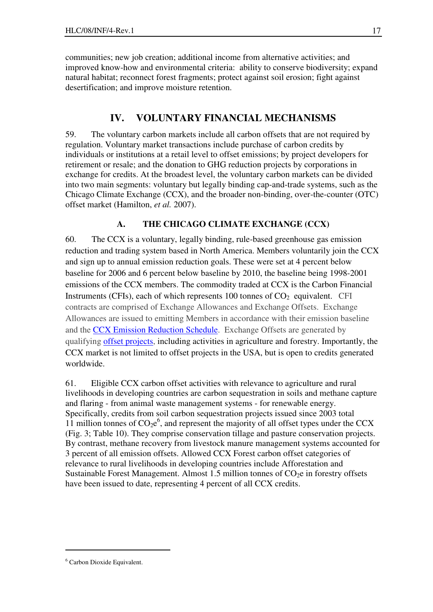communities; new job creation; additional income from alternative activities; and improved know-how and environmental criteria: ability to conserve biodiversity; expand natural habitat; reconnect forest fragments; protect against soil erosion; fight against desertification; and improve moisture retention.

# **IV. VOLUNTARY FINANCIAL MECHANISMS**

59. The voluntary carbon markets include all carbon offsets that are not required by regulation. Voluntary market transactions include purchase of carbon credits by individuals or institutions at a retail level to offset emissions; by project developers for retirement or resale; and the donation to GHG reduction projects by corporations in exchange for credits. At the broadest level, the voluntary carbon markets can be divided into two main segments: voluntary but legally binding cap-and-trade systems, such as the Chicago Climate Exchange (CCX), and the broader non-binding, over-the-counter (OTC) offset market (Hamilton, *et al.* 2007).

# **A. THE CHICAGO CLIMATE EXCHANGE (CCX)**

60. The CCX is a voluntary, legally binding, rule-based greenhouse gas emission reduction and trading system based in North America. Members voluntarily join the CCX and sign up to annual emission reduction goals. These were set at 4 percent below baseline for 2006 and 6 percent below baseline by 2010, the baseline being 1998-2001 emissions of the CCX members. The commodity traded at CCX is the Carbon Financial Instruments (CFIs), each of which represents 100 tonnes of  $CO<sub>2</sub>$  equivalent. CFI contracts are comprised of Exchange Allowances and Exchange Offsets. Exchange Allowances are issued to emitting Members in accordance with their emission baseline and the CCX Emission Reduction Schedule. Exchange Offsets are generated by qualifying offset projects, including activities in agriculture and forestry. Importantly, the CCX market is not limited to offset projects in the USA, but is open to credits generated worldwide.

61. Eligible CCX carbon offset activities with relevance to agriculture and rural livelihoods in developing countries are carbon sequestration in soils and methane capture and flaring - from animal waste management systems - for renewable energy. Specifically, credits from soil carbon sequestration projects issued since 2003 total 11 million tonnes of  $CO_2e^6$ , and represent the majority of all offset types under the CCX (Fig. 3; Table 10). They comprise conservation tillage and pasture conservation projects. By contrast, methane recovery from livestock manure management systems accounted for 3 percent of all emission offsets. Allowed CCX Forest carbon offset categories of relevance to rural livelihoods in developing countries include Afforestation and Sustainable Forest Management. Almost 1.5 million tonnes of  $CO<sub>2</sub>e$  in forestry offsets have been issued to date, representing 4 percent of all CCX credits.

<sup>6</sup> Carbon Dioxide Equivalent.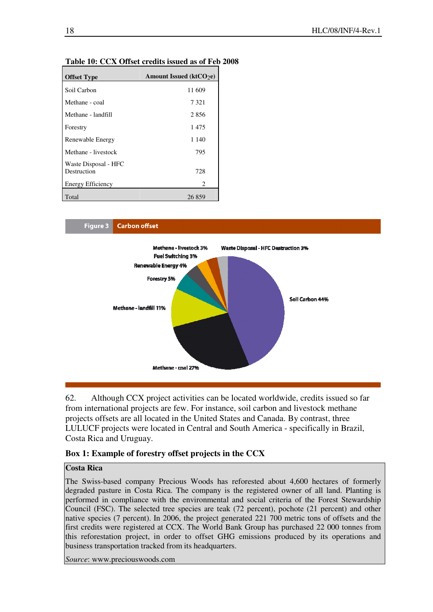| <b>Offset Type</b>                  | Amount Issued ( $ktCO2e$ ) |
|-------------------------------------|----------------------------|
| Soil Carbon                         | 11 609                     |
| Methane - coal                      | 7 3 2 1                    |
| Methane - landfill                  | 2856                       |
| Forestry                            | 1475                       |
| Renewable Energy                    | 1 1 4 0                    |
| Methane - livestock                 | 795                        |
| Waste Disposal - HFC<br>Destruction | 728                        |
| <b>Energy Efficiency</b>            | 2                          |
| Total                               | 26859                      |

#### **Table 10: CCX Offset credits issued as of Feb 2008**



62. Although CCX project activities can be located worldwide, credits issued so far from international projects are few. For instance, soil carbon and livestock methane projects offsets are all located in the United States and Canada. By contrast, three LULUCF projects were located in Central and South America - specifically in Brazil, Costa Rica and Uruguay.

#### **Box 1: Example of forestry offset projects in the CCX**

#### **Costa Rica**

The Swiss-based company Precious Woods has reforested about 4,600 hectares of formerly degraded pasture in Costa Rica. The company is the registered owner of all land. Planting is performed in compliance with the environmental and social criteria of the Forest Stewardship Council (FSC). The selected tree species are teak (72 percent), pochote (21 percent) and other native species (7 percent). In 2006, the project generated 221 700 metric tons of offsets and the first credits were registered at CCX. The World Bank Group has purchased 22 000 tonnes from this reforestation project, in order to offset GHG emissions produced by its operations and business transportation tracked from its headquarters.

*Source*: www.preciouswoods.com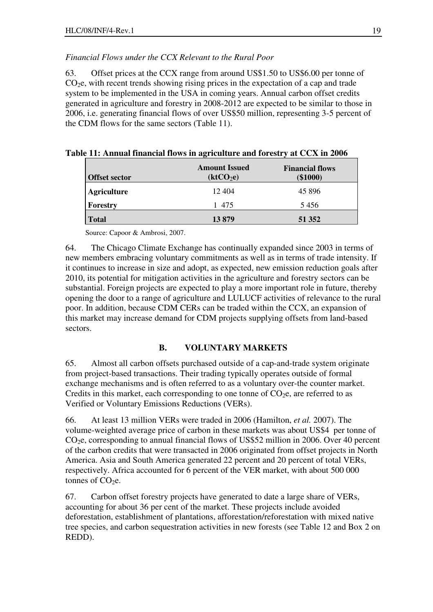### *Financial Flows under the CCX Relevant to the Rural Poor*

63. Offset prices at the CCX range from around US\$1.50 to US\$6.00 per tonne of  $CO<sub>2</sub>e$ , with recent trends showing rising prices in the expectation of a cap and trade system to be implemented in the USA in coming years. Annual carbon offset credits generated in agriculture and forestry in 2008-2012 are expected to be similar to those in 2006, i.e. generating financial flows of over US\$50 million, representing 3-5 percent of the CDM flows for the same sectors (Table 11).

| <b>Offset sector</b> | <b>Amount Issued</b><br>$(\mathbf{k} \mathbf{t} \mathbf{C} \mathbf{O}_2 \mathbf{e})$ | <b>Financial flows</b><br>$(\$1000)$ |
|----------------------|--------------------------------------------------------------------------------------|--------------------------------------|
| <b>Agriculture</b>   | 12 404                                                                               | 45 8 9 6                             |
| Forestry             | 1 475                                                                                | 5456                                 |
| <b>Total</b>         | 13879                                                                                | 51 352                               |

|  |  | Table 11: Annual financial flows in agriculture and forestry at CCX in 2006 |  |  |
|--|--|-----------------------------------------------------------------------------|--|--|
|  |  |                                                                             |  |  |

Source: Capoor & Ambrosi, 2007.

64. The Chicago Climate Exchange has continually expanded since 2003 in terms of new members embracing voluntary commitments as well as in terms of trade intensity. If it continues to increase in size and adopt, as expected, new emission reduction goals after 2010, its potential for mitigation activities in the agriculture and forestry sectors can be substantial. Foreign projects are expected to play a more important role in future, thereby opening the door to a range of agriculture and LULUCF activities of relevance to the rural poor. In addition, because CDM CERs can be traded within the CCX, an expansion of this market may increase demand for CDM projects supplying offsets from land-based sectors.

## **B. VOLUNTARY MARKETS**

65. Almost all carbon offsets purchased outside of a cap-and-trade system originate from project-based transactions. Their trading typically operates outside of formal exchange mechanisms and is often referred to as a voluntary over-the counter market. Credits in this market, each corresponding to one tonne of  $CO<sub>2</sub>e$ , are referred to as Verified or Voluntary Emissions Reductions (VERs).

66. At least 13 million VERs were traded in 2006 (Hamilton, *et al.* 2007). The volume-weighted average price of carbon in these markets was about US\$4 per tonne of  $CO<sub>2</sub>e$ , corresponding to annual financial flows of US\$52 million in 2006. Over 40 percent of the carbon credits that were transacted in 2006 originated from offset projects in North America. Asia and South America generated 22 percent and 20 percent of total VERs, respectively. Africa accounted for 6 percent of the VER market, with about 500 000 tonnes of  $CO<sub>2</sub>e$ .

67. Carbon offset forestry projects have generated to date a large share of VERs, accounting for about 36 per cent of the market. These projects include avoided deforestation, establishment of plantations, afforestation/reforestation with mixed native tree species, and carbon sequestration activities in new forests (see Table 12 and Box 2 on REDD).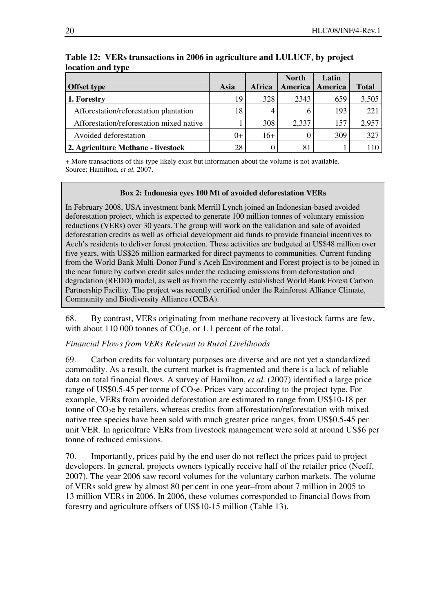|                                          |       |        | <b>North</b> | Latin   |              |
|------------------------------------------|-------|--------|--------------|---------|--------------|
| <b>Offset type</b>                       | Asia  | Africa | America      | America | <b>Total</b> |
| 1. Forestry                              | 19    | 328    | 2343         | 659     | 3,505        |
| Afforestation/reforestation plantation   | 18    |        | 6            | 193     | 221          |
| Afforestation/reforestation mixed native |       | 308    | 2,337        | 157     | 2,957        |
| Avoided deforestation                    | $()+$ | $16+$  |              | 309     | 327          |
| 2. Agriculture Methane - livestock       | 28    |        | 81           |         | 110          |

### **Table 12: VERs transactions in 2006 in agriculture and LULUCF, by project location and type**

+ More transactions of this type likely exist but information about the volume is not available. Source: Hamilton, *et al.* 2007.

#### **Box 2: Indonesia eyes 100 Mt of avoided deforestation VERs**

In February 2008, USA investment bank Merrill Lynch joined an Indonesian-based avoided deforestation project, which is expected to generate 100 million tonnes of voluntary emission reductions (VERs) over 30 years. The group will work on the validation and sale of avoided deforestation credits as well as official development aid funds to provide financial incentives to Aceh's residents to deliver forest protection. These activities are budgeted at US\$48 million over five years, with US\$26 million earmarked for direct payments to communities. Current funding from the World Bank Multi-Donor Fund's Aceh Environment and Forest project is to be joined in the near future by carbon credit sales under the reducing emissions from deforestation and degradation (REDD) model, as well as from the recently established World Bank Forest Carbon Partnership Facility. The project was recently certified under the Rainforest Alliance Climate, Community and Biodiversity Alliance (CCBA).

68. By contrast, VERs originating from methane recovery at livestock farms are few, with about 110 000 tonnes of  $CO<sub>2</sub>e$ , or 1.1 percent of the total.

#### *Financial Flows from VERs Relevant to Rural Livelihoods*

69. Carbon credits for voluntary purposes are diverse and are not yet a standardized commodity. As a result, the current market is fragmented and there is a lack of reliable data on total financial flows. A survey of Hamilton, *et al.* (2007) identified a large price range of US\$0.5-45 per tonne of  $CO<sub>2</sub>e$ . Prices vary according to the project type. For example, VERs from avoided deforestation are estimated to range from US\$10-18 per tonne of  $CO<sub>2</sub>e$  by retailers, whereas credits from afforestation/reforestation with mixed native tree species have been sold with much greater price ranges, from US\$0.5-45 per unit VER. In agriculture VERs from livestock management were sold at around US\$6 per tonne of reduced emissions.

70. Importantly, prices paid by the end user do not reflect the prices paid to project developers. In general, projects owners typically receive half of the retailer price (Neeff, 2007). The year 2006 saw record volumes for the voluntary carbon markets. The volume of VERs sold grew by almost 80 per cent in one year–from about 7 million in 2005 to 13 million VERs in 2006. In 2006, these volumes corresponded to financial flows from forestry and agriculture offsets of US\$10-15 million (Table 13).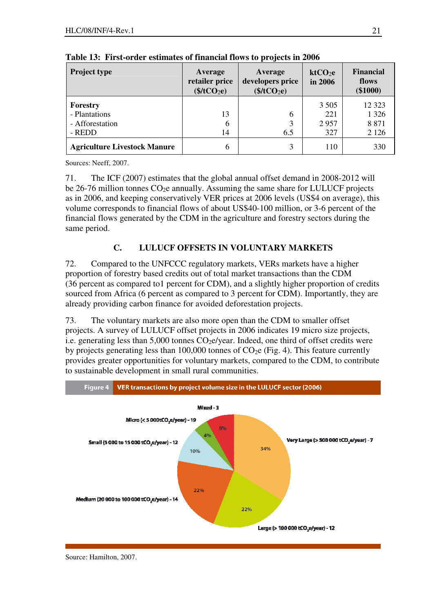| <b>Project type</b>                 | Average<br>retailer price<br>\$/tCO <sub>2</sub> e) | Average<br>developers price<br>\$/tCO <sub>2</sub> e) | ktCO <sub>2</sub> e<br>in 2006 | <b>Financial</b><br>flows<br>$(\$1000)$ |
|-------------------------------------|-----------------------------------------------------|-------------------------------------------------------|--------------------------------|-----------------------------------------|
| Forestry                            |                                                     |                                                       | 3 5 0 5                        | 12 3 23                                 |
| - Plantations                       | 13                                                  | 6                                                     | 221                            | 1 3 2 6                                 |
| - Afforestation                     | 6                                                   |                                                       | 2957                           | 8 8 7 1                                 |
| - REDD                              | 14                                                  | 6.5                                                   | 327                            | 2 1 2 6                                 |
| <b>Agriculture Livestock Manure</b> | 6                                                   |                                                       | 110                            | 330                                     |

**Table 13: First-order estimates of financial flows to projects in 2006** 

Sources: Neeff, 2007.

71. The ICF (2007) estimates that the global annual offset demand in 2008-2012 will be 26-76 million tonnes  $CO<sub>2</sub>e$  annually. Assuming the same share for LULUCF projects as in 2006, and keeping conservatively VER prices at 2006 levels (US\$4 on average), this volume corresponds to financial flows of about US\$40-100 million, or 3-6 percent of the financial flows generated by the CDM in the agriculture and forestry sectors during the same period.

# **C. LULUCF OFFSETS IN VOLUNTARY MARKETS**

72. Compared to the UNFCCC regulatory markets, VERs markets have a higher proportion of forestry based credits out of total market transactions than the CDM (36 percent as compared to1 percent for CDM), and a slightly higher proportion of credits sourced from Africa (6 percent as compared to 3 percent for CDM). Importantly, they are already providing carbon finance for avoided deforestation projects.

73. The voluntary markets are also more open than the CDM to smaller offset projects. A survey of LULUCF offset projects in 2006 indicates 19 micro size projects, i.e. generating less than  $5,000$  tonnes  $CO<sub>2</sub>e/year$ . Indeed, one third of offset credits were by projects generating less than 100,000 tonnes of  $CO<sub>2</sub>e$  (Fig. 4). This feature currently provides greater opportunities for voluntary markets, compared to the CDM, to contribute to sustainable development in small rural communities.



Source: Hamilton, 2007.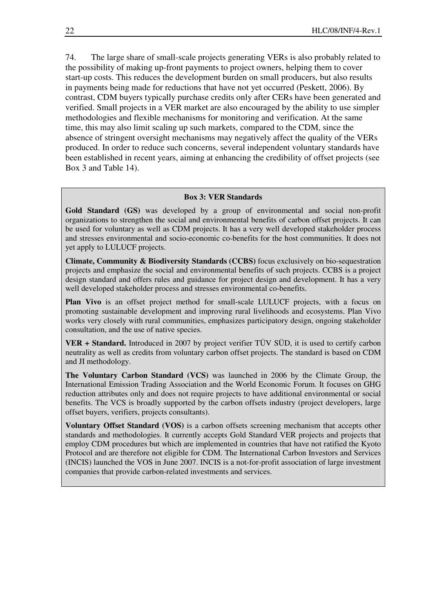74. The large share of small-scale projects generating VERs is also probably related to the possibility of making up-front payments to project owners, helping them to cover start-up costs. This reduces the development burden on small producers, but also results in payments being made for reductions that have not yet occurred (Peskett, 2006). By contrast, CDM buyers typically purchase credits only after CERs have been generated and verified. Small projects in a VER market are also encouraged by the ability to use simpler methodologies and flexible mechanisms for monitoring and verification. At the same time, this may also limit scaling up such markets, compared to the CDM, since the absence of stringent oversight mechanisms may negatively affect the quality of the VERs produced. In order to reduce such concerns, several independent voluntary standards have been established in recent years, aiming at enhancing the credibility of offset projects (see Box 3 and Table 14).

#### **Box 3: VER Standards**

**Gold Standard (GS)** was developed by a group of environmental and social non-profit organizations to strengthen the social and environmental benefits of carbon offset projects. It can be used for voluntary as well as CDM projects. It has a very well developed stakeholder process and stresses environmental and socio-economic co-benefits for the host communities. It does not yet apply to LULUCF projects.

**Climate, Community & Biodiversity Standards (CCBS)** focus exclusively on bio-sequestration projects and emphasize the social and environmental benefits of such projects. CCBS is a project design standard and offers rules and guidance for project design and development. It has a very well developed stakeholder process and stresses environmental co-benefits.

**Plan Vivo** is an offset project method for small-scale LULUCF projects, with a focus on promoting sustainable development and improving rural livelihoods and ecosystems. Plan Vivo works very closely with rural communities, emphasizes participatory design, ongoing stakeholder consultation, and the use of native species.

**VER + Standard.** Introduced in 2007 by project verifier TÜV SÜD, it is used to certify carbon neutrality as well as credits from voluntary carbon offset projects. The standard is based on CDM and JI methodology.

**The Voluntary Carbon Standard (VCS)** was launched in 2006 by the Climate Group, the International Emission Trading Association and the World Economic Forum. It focuses on GHG reduction attributes only and does not require projects to have additional environmental or social benefits. The VCS is broadly supported by the carbon offsets industry (project developers, large offset buyers, verifiers, projects consultants).

**Voluntary Offset Standard (VOS)** is a carbon offsets screening mechanism that accepts other standards and methodologies. It currently accepts Gold Standard VER projects and projects that employ CDM procedures but which are implemented in countries that have not ratified the Kyoto Protocol and are therefore not eligible for CDM. The International Carbon Investors and Services (INCIS) launched the VOS in June 2007. INCIS is a not-for-profit association of large investment companies that provide carbon-related investments and services.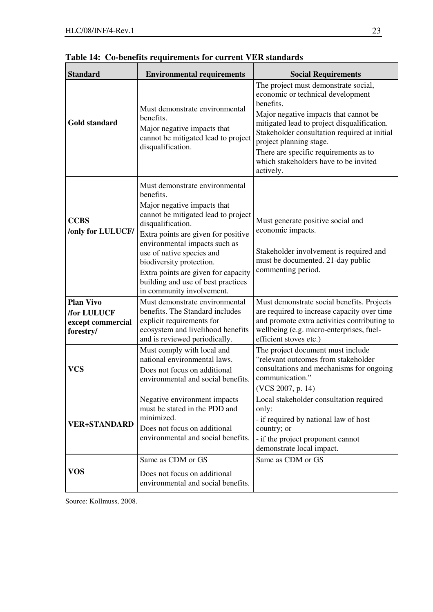| <b>Standard</b>                                                          | <b>Environmental requirements</b>                                                                                                                                                                                                                                                                                                                                                 | <b>Social Requirements</b>                                                                                                                                                                                                                                                                                                                               |
|--------------------------------------------------------------------------|-----------------------------------------------------------------------------------------------------------------------------------------------------------------------------------------------------------------------------------------------------------------------------------------------------------------------------------------------------------------------------------|----------------------------------------------------------------------------------------------------------------------------------------------------------------------------------------------------------------------------------------------------------------------------------------------------------------------------------------------------------|
| Gold standard                                                            | Must demonstrate environmental<br>benefits.<br>Major negative impacts that<br>cannot be mitigated lead to project<br>disqualification.                                                                                                                                                                                                                                            | The project must demonstrate social,<br>economic or technical development<br>benefits.<br>Major negative impacts that cannot be<br>mitigated lead to project disqualification.<br>Stakeholder consultation required at initial<br>project planning stage.<br>There are specific requirements as to<br>which stakeholders have to be invited<br>actively. |
| <b>CCBS</b><br>/only for LULUCF/                                         | Must demonstrate environmental<br>benefits.<br>Major negative impacts that<br>cannot be mitigated lead to project<br>disqualification.<br>Extra points are given for positive<br>environmental impacts such as<br>use of native species and<br>biodiversity protection.<br>Extra points are given for capacity<br>building and use of best practices<br>in community involvement. | Must generate positive social and<br>economic impacts.<br>Stakeholder involvement is required and<br>must be documented. 21-day public<br>commenting period.                                                                                                                                                                                             |
| <b>Plan Vivo</b><br><b>/for LULUCF</b><br>except commercial<br>forestry/ | Must demonstrate environmental<br>benefits. The Standard includes<br>explicit requirements for<br>ecosystem and livelihood benefits<br>and is reviewed periodically.                                                                                                                                                                                                              | Must demonstrate social benefits. Projects<br>are required to increase capacity over time<br>and promote extra activities contributing to<br>wellbeing (e.g. micro-enterprises, fuel-<br>efficient stoves etc.)                                                                                                                                          |
| <b>VCS</b>                                                               | Must comply with local and<br>national environmental laws.<br>Does not focus on additional<br>environmental and social benefits.                                                                                                                                                                                                                                                  | The project document must include<br>"relevant outcomes from stakeholder<br>consultations and mechanisms for ongoing<br>communication."<br>(VCS 2007, p. 14)                                                                                                                                                                                             |
| <b>VER+STANDARD</b>                                                      | Negative environment impacts<br>must be stated in the PDD and<br>minimized.<br>Does not focus on additional<br>environmental and social benefits.                                                                                                                                                                                                                                 | Local stakeholder consultation required<br>only:<br>- if required by national law of host<br>country; or<br>- if the project proponent cannot<br>demonstrate local impact.                                                                                                                                                                               |
| VOS                                                                      | Same as CDM or GS<br>Does not focus on additional<br>environmental and social benefits.                                                                                                                                                                                                                                                                                           | Same as CDM or GS                                                                                                                                                                                                                                                                                                                                        |

**Table 14: Co-benefits requirements for current VER standards** 

Source: Kollmuss, 2008.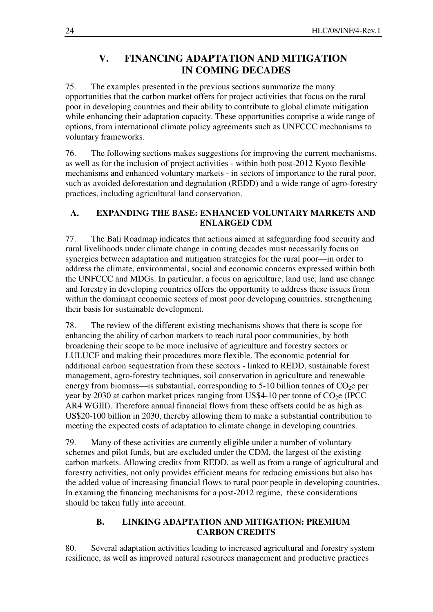# **V. FINANCING ADAPTATION AND MITIGATION IN COMING DECADES**

75. The examples presented in the previous sections summarize the many opportunities that the carbon market offers for project activities that focus on the rural poor in developing countries and their ability to contribute to global climate mitigation while enhancing their adaptation capacity. These opportunities comprise a wide range of options, from international climate policy agreements such as UNFCCC mechanisms to voluntary frameworks.

76. The following sections makes suggestions for improving the current mechanisms, as well as for the inclusion of project activities - within both post-2012 Kyoto flexible mechanisms and enhanced voluntary markets - in sectors of importance to the rural poor, such as avoided deforestation and degradation (REDD) and a wide range of agro-forestry practices, including agricultural land conservation.

# **A. EXPANDING THE BASE: ENHANCED VOLUNTARY MARKETS AND ENLARGED CDM**

77. The Bali Roadmap indicates that actions aimed at safeguarding food security and rural livelihoods under climate change in coming decades must necessarily focus on synergies between adaptation and mitigation strategies for the rural poor—in order to address the climate, environmental, social and economic concerns expressed within both the UNFCCC and MDGs. In particular, a focus on agriculture, land use, land use change and forestry in developing countries offers the opportunity to address these issues from within the dominant economic sectors of most poor developing countries, strengthening their basis for sustainable development.

78. The review of the different existing mechanisms shows that there is scope for enhancing the ability of carbon markets to reach rural poor communities, by both broadening their scope to be more inclusive of agriculture and forestry sectors or LULUCF and making their procedures more flexible. The economic potential for additional carbon sequestration from these sectors - linked to REDD, sustainable forest management, agro-forestry techniques, soil conservation in agriculture and renewable energy from biomass—is substantial, corresponding to 5-10 billion tonnes of  $CO<sub>2</sub>e$  per year by 2030 at carbon market prices ranging from US\$4-10 per tonne of  $CO<sub>2</sub>e$  (IPCC) AR4 WGIII). Therefore annual financial flows from these offsets could be as high as US\$20-100 billion in 2030, thereby allowing them to make a substantial contribution to meeting the expected costs of adaptation to climate change in developing countries.

79. Many of these activities are currently eligible under a number of voluntary schemes and pilot funds, but are excluded under the CDM, the largest of the existing carbon markets. Allowing credits from REDD, as well as from a range of agricultural and forestry activities, not only provides efficient means for reducing emissions but also has the added value of increasing financial flows to rural poor people in developing countries. In examing the financing mechanisms for a post-2012 regime, these considerations should be taken fully into account.

## **B. LINKING ADAPTATION AND MITIGATION: PREMIUM CARBON CREDITS**

80. Several adaptation activities leading to increased agricultural and forestry system resilience, as well as improved natural resources management and productive practices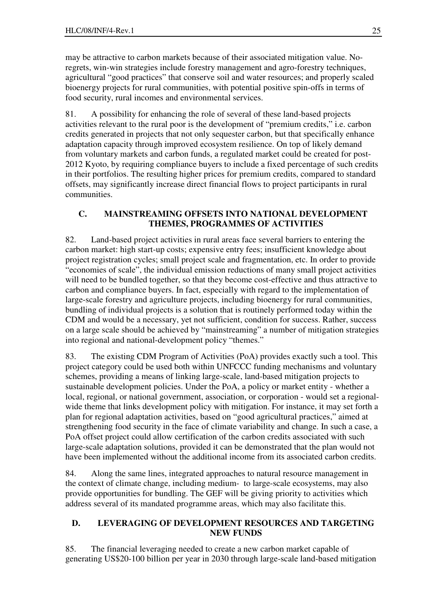may be attractive to carbon markets because of their associated mitigation value. Noregrets, win-win strategies include forestry management and agro-forestry techniques, agricultural "good practices" that conserve soil and water resources; and properly scaled bioenergy projects for rural communities, with potential positive spin-offs in terms of food security, rural incomes and environmental services.

81. A possibility for enhancing the role of several of these land-based projects activities relevant to the rural poor is the development of "premium credits," i.e. carbon credits generated in projects that not only sequester carbon, but that specifically enhance adaptation capacity through improved ecosystem resilience. On top of likely demand from voluntary markets and carbon funds, a regulated market could be created for post-2012 Kyoto, by requiring compliance buyers to include a fixed percentage of such credits in their portfolios. The resulting higher prices for premium credits, compared to standard offsets, may significantly increase direct financial flows to project participants in rural communities.

## **C. MAINSTREAMING OFFSETS INTO NATIONAL DEVELOPMENT THEMES, PROGRAMMES OF ACTIVITIES**

82. Land-based project activities in rural areas face several barriers to entering the carbon market: high start-up costs; expensive entry fees; insufficient knowledge about project registration cycles; small project scale and fragmentation, etc. In order to provide "economies of scale", the individual emission reductions of many small project activities will need to be bundled together, so that they become cost-effective and thus attractive to carbon and compliance buyers. In fact, especially with regard to the implementation of large-scale forestry and agriculture projects, including bioenergy for rural communities, bundling of individual projects is a solution that is routinely performed today within the CDM and would be a necessary, yet not sufficient, condition for success. Rather, success on a large scale should be achieved by "mainstreaming" a number of mitigation strategies into regional and national-development policy "themes."

83. The existing CDM Program of Activities (PoA) provides exactly such a tool. This project category could be used both within UNFCCC funding mechanisms and voluntary schemes, providing a means of linking large-scale, land-based mitigation projects to sustainable development policies. Under the PoA, a policy or market entity - whether a local, regional, or national government, association, or corporation - would set a regionalwide theme that links development policy with mitigation. For instance, it may set forth a plan for regional adaptation activities, based on "good agricultural practices," aimed at strengthening food security in the face of climate variability and change. In such a case, a PoA offset project could allow certification of the carbon credits associated with such large-scale adaptation solutions, provided it can be demonstrated that the plan would not have been implemented without the additional income from its associated carbon credits.

84. Along the same lines, integrated approaches to natural resource management in the context of climate change, including medium- to large-scale ecosystems, may also provide opportunities for bundling. The GEF will be giving priority to activities which address several of its mandated programme areas, which may also facilitate this.

### **D. LEVERAGING OF DEVELOPMENT RESOURCES AND TARGETING NEW FUNDS**

85. The financial leveraging needed to create a new carbon market capable of generating US\$20-100 billion per year in 2030 through large-scale land-based mitigation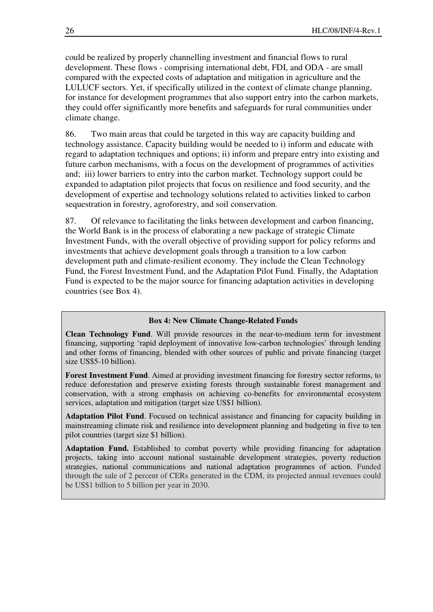could be realized by properly channelling investment and financial flows to rural development. These flows - comprising international debt, FDI, and ODA - are small compared with the expected costs of adaptation and mitigation in agriculture and the LULUCF sectors. Yet, if specifically utilized in the context of climate change planning, for instance for development programmes that also support entry into the carbon markets, they could offer significantly more benefits and safeguards for rural communities under climate change.

86. Two main areas that could be targeted in this way are capacity building and technology assistance. Capacity building would be needed to i) inform and educate with regard to adaptation techniques and options; ii) inform and prepare entry into existing and future carbon mechanisms, with a focus on the development of programmes of activities and; iii) lower barriers to entry into the carbon market. Technology support could be expanded to adaptation pilot projects that focus on resilience and food security, and the development of expertise and technology solutions related to activities linked to carbon sequestration in forestry, agroforestry, and soil conservation.

87. Of relevance to facilitating the links between development and carbon financing, the World Bank is in the process of elaborating a new package of strategic Climate Investment Funds, with the overall objective of providing support for policy reforms and investments that achieve development goals through a transition to a low carbon development path and climate-resilient economy. They include the Clean Technology Fund, the Forest Investment Fund, and the Adaptation Pilot Fund. Finally, the Adaptation Fund is expected to be the major source for financing adaptation activities in developing countries (see Box 4).

#### **Box 4: New Climate Change-Related Funds**

**Clean Technology Fund**. Will provide resources in the near-to-medium term for investment financing, supporting 'rapid deployment of innovative low-carbon technologies' through lending and other forms of financing, blended with other sources of public and private financing (target size US\$5-10 billion).

**Forest Investment Fund**. Aimed at providing investment financing for forestry sector reforms, to reduce deforestation and preserve existing forests through sustainable forest management and conservation, with a strong emphasis on achieving co-benefits for environmental ecosystem services, adaptation and mitigation (target size US\$1 billion).

**Adaptation Pilot Fund**. Focused on technical assistance and financing for capacity building in mainstreaming climate risk and resilience into development planning and budgeting in five to ten pilot countries (target size \$1 billion).

**Adaptation Fund.** Established to combat poverty while providing financing for adaptation projects, taking into account national sustainable development strategies, poverty reduction strategies, national communications and national adaptation programmes of action. Funded through the sale of 2 percent of CERs generated in the CDM, its projected annual revenues could be US\$1 billion to 5 billion per year in 2030.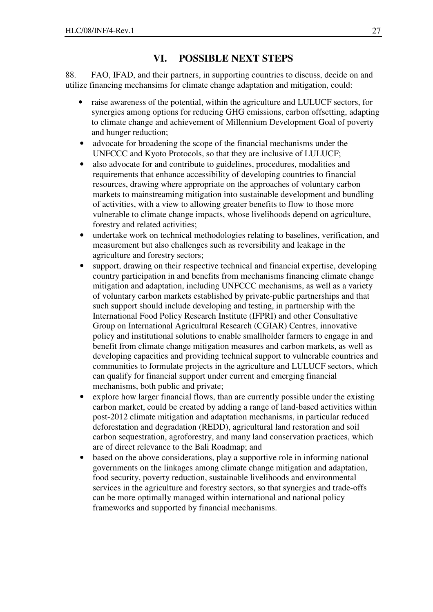# **VI. POSSIBLE NEXT STEPS**

88. FAO, IFAD, and their partners, in supporting countries to discuss, decide on and utilize financing mechansims for climate change adaptation and mitigation, could:

- raise awareness of the potential, within the agriculture and LULUCF sectors, for synergies among options for reducing GHG emissions, carbon offsetting, adapting to climate change and achievement of Millennium Development Goal of poverty and hunger reduction;
- advocate for broadening the scope of the financial mechanisms under the UNFCCC and Kyoto Protocols, so that they are inclusive of LULUCF;
- also advocate for and contribute to guidelines, procedures, modalities and requirements that enhance accessibility of developing countries to financial resources, drawing where appropriate on the approaches of voluntary carbon markets to mainstreaming mitigation into sustainable development and bundling of activities, with a view to allowing greater benefits to flow to those more vulnerable to climate change impacts, whose livelihoods depend on agriculture, forestry and related activities;
- undertake work on technical methodologies relating to baselines, verification, and measurement but also challenges such as reversibility and leakage in the agriculture and forestry sectors;
- support, drawing on their respective technical and financial expertise, developing country participation in and benefits from mechanisms financing climate change mitigation and adaptation, including UNFCCC mechanisms, as well as a variety of voluntary carbon markets established by private-public partnerships and that such support should include developing and testing, in partnership with the International Food Policy Research Institute (IFPRI) and other Consultative Group on International Agricultural Research (CGIAR) Centres, innovative policy and institutional solutions to enable smallholder farmers to engage in and benefit from climate change mitigation measures and carbon markets, as well as developing capacities and providing technical support to vulnerable countries and communities to formulate projects in the agriculture and LULUCF sectors, which can qualify for financial support under current and emerging financial mechanisms, both public and private;
- explore how larger financial flows, than are currently possible under the existing carbon market, could be created by adding a range of land-based activities within post-2012 climate mitigation and adaptation mechanisms, in particular reduced deforestation and degradation (REDD), agricultural land restoration and soil carbon sequestration, agroforestry, and many land conservation practices, which are of direct relevance to the Bali Roadmap; and
- based on the above considerations, play a supportive role in informing national governments on the linkages among climate change mitigation and adaptation, food security, poverty reduction, sustainable livelihoods and environmental services in the agriculture and forestry sectors, so that synergies and trade-offs can be more optimally managed within international and national policy frameworks and supported by financial mechanisms.